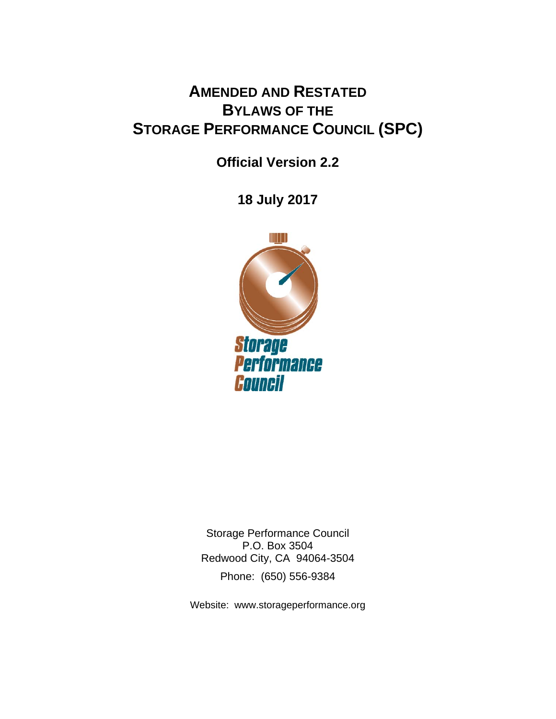# **AMENDED AND RESTATED BYLAWS OF THE STORAGE PERFORMANCE COUNCIL (SPC)**

**Official Version 2.2** 

**18 July 2017**



Storage Performance Council P.O. Box 3504 Redwood City, CA 94064-3504 Phone: (650) 556-9384

Website: www.storageperformance.org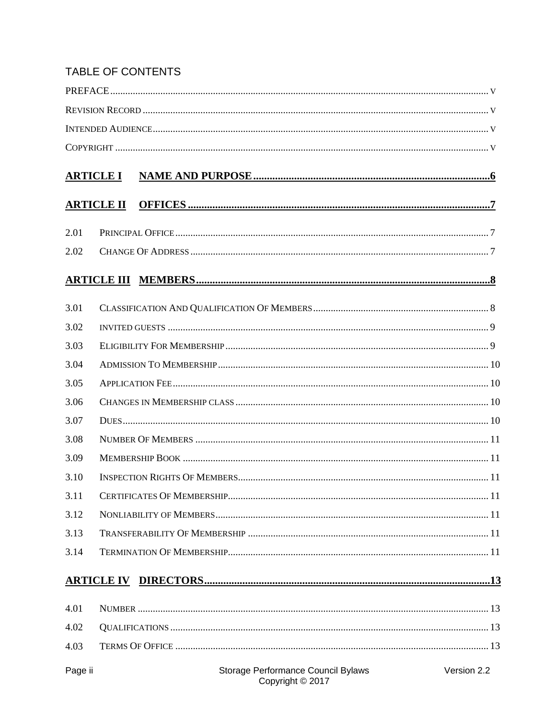# TABLE OF CONTENTS

| <b>ARTICLE I</b> |                   |                                                        |             |  |
|------------------|-------------------|--------------------------------------------------------|-------------|--|
|                  | <b>ARTICLE II</b> |                                                        |             |  |
| 2.01             |                   |                                                        |             |  |
| 2.02             |                   |                                                        |             |  |
|                  |                   |                                                        |             |  |
| 3.01             |                   |                                                        |             |  |
| 3.02             |                   |                                                        |             |  |
| 3.03             |                   |                                                        |             |  |
| 3.04             |                   |                                                        |             |  |
| 3.05             |                   |                                                        |             |  |
| 3.06             |                   |                                                        |             |  |
| 3.07             |                   |                                                        |             |  |
| 3.08             |                   |                                                        |             |  |
| 3.09             |                   |                                                        |             |  |
| 3.10             |                   |                                                        |             |  |
| 3.11             |                   |                                                        |             |  |
| 3.12             |                   |                                                        |             |  |
| 3.13             |                   |                                                        |             |  |
| 3.14             |                   |                                                        |             |  |
|                  |                   |                                                        |             |  |
| 4.01             |                   |                                                        |             |  |
| 4.02             |                   |                                                        |             |  |
| 4.03             |                   |                                                        |             |  |
| Page ii          |                   | Storage Performance Council Bylaws<br>Copyright © 2017 | Version 2.2 |  |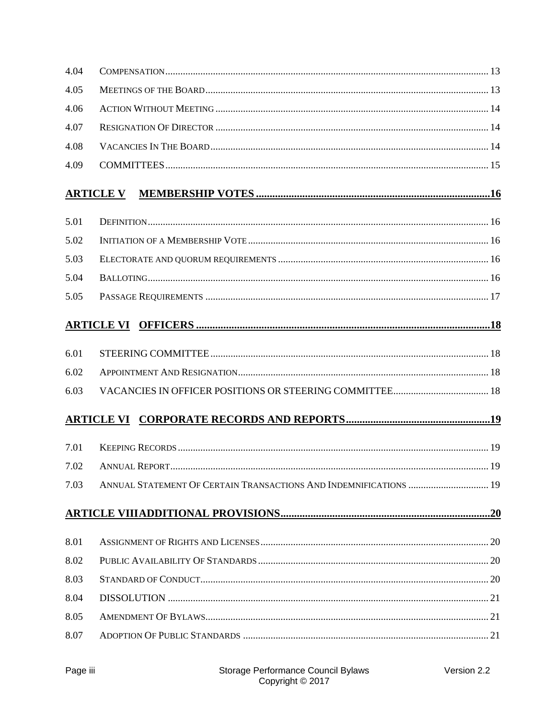| 4.04 |                                                                   |  |
|------|-------------------------------------------------------------------|--|
| 4.05 |                                                                   |  |
| 4.06 |                                                                   |  |
| 4.07 |                                                                   |  |
| 4.08 |                                                                   |  |
| 4.09 |                                                                   |  |
|      | <b>ARTICLE V</b>                                                  |  |
| 5.01 |                                                                   |  |
| 5.02 |                                                                   |  |
| 5.03 |                                                                   |  |
| 5.04 |                                                                   |  |
| 5.05 |                                                                   |  |
|      |                                                                   |  |
| 6.01 |                                                                   |  |
| 6.02 |                                                                   |  |
| 6.03 |                                                                   |  |
|      |                                                                   |  |
| 7.01 |                                                                   |  |
| 7.02 |                                                                   |  |
| 7.03 | ANNUAL STATEMENT OF CERTAIN TRANSACTIONS AND INDEMNIFICATIONS  19 |  |
|      |                                                                   |  |
| 8.01 |                                                                   |  |
| 8.02 |                                                                   |  |
| 8.03 |                                                                   |  |
| 8.04 |                                                                   |  |
| 8.05 |                                                                   |  |
| 8.07 |                                                                   |  |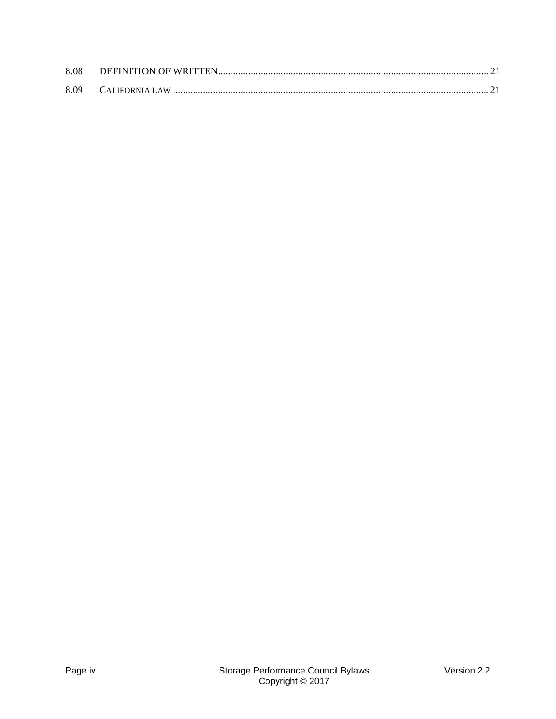| 8.08 |  |
|------|--|
|      |  |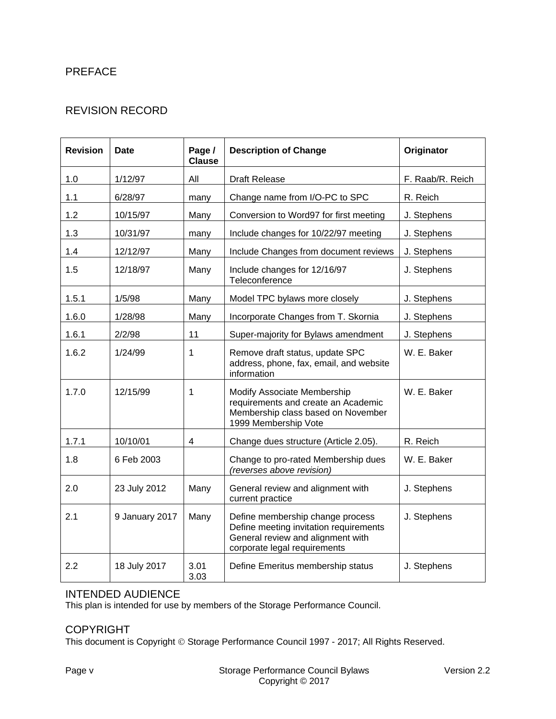# PREFACE

# REVISION RECORD

| <b>Revision</b> | Date           | Page /<br><b>Clause</b> | <b>Description of Change</b>                                                                                                                    | Originator       |
|-----------------|----------------|-------------------------|-------------------------------------------------------------------------------------------------------------------------------------------------|------------------|
| 1.0             | 1/12/97        | All                     | <b>Draft Release</b>                                                                                                                            | F. Raab/R. Reich |
| 1.1             | 6/28/97        | many                    | Change name from I/O-PC to SPC                                                                                                                  | R. Reich         |
| 1.2             | 10/15/97       | Many                    | Conversion to Word97 for first meeting                                                                                                          | J. Stephens      |
| 1.3             | 10/31/97       | many                    | Include changes for 10/22/97 meeting                                                                                                            | J. Stephens      |
| 1.4             | 12/12/97       | Many                    | Include Changes from document reviews                                                                                                           | J. Stephens      |
| 1.5             | 12/18/97       | Many                    | Include changes for 12/16/97<br>Teleconference                                                                                                  | J. Stephens      |
| 1.5.1           | 1/5/98         | Many                    | Model TPC bylaws more closely                                                                                                                   | J. Stephens      |
| 1.6.0           | 1/28/98        | Many                    | Incorporate Changes from T. Skornia                                                                                                             | J. Stephens      |
| 1.6.1           | 2/2/98         | 11                      | Super-majority for Bylaws amendment                                                                                                             | J. Stephens      |
| 1.6.2           | 1/24/99        | $\mathbf{1}$            | Remove draft status, update SPC<br>address, phone, fax, email, and website<br>information                                                       | W. E. Baker      |
| 1.7.0           | 12/15/99       | $\mathbf{1}$            | Modify Associate Membership<br>requirements and create an Academic<br>Membership class based on November<br>1999 Membership Vote                | W. E. Baker      |
| 1.7.1           | 10/10/01       | $\overline{\mathbf{4}}$ | Change dues structure (Article 2.05).                                                                                                           | R. Reich         |
| 1.8             | 6 Feb 2003     |                         | Change to pro-rated Membership dues<br>(reverses above revision)                                                                                | W. E. Baker      |
| 2.0             | 23 July 2012   | Many                    | General review and alignment with<br>current practice                                                                                           | J. Stephens      |
| 2.1             | 9 January 2017 | Many                    | Define membership change process<br>Define meeting invitation requirements<br>General review and alignment with<br>corporate legal requirements | J. Stephens      |
| 2.2             | 18 July 2017   | 3.01<br>3.03            | Define Emeritus membership status                                                                                                               | J. Stephens      |

#### INTENDED AUDIENCE

This plan is intended for use by members of the Storage Performance Council.

#### COPYRIGHT

This document is Copyright © Storage Performance Council 1997 - 2017; All Rights Reserved.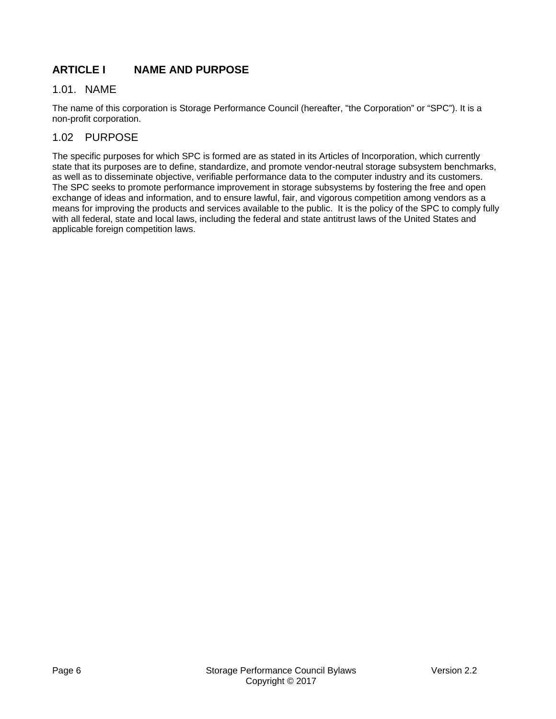# **ARTICLE I NAME AND PURPOSE**

#### 1.01. NAME

The name of this corporation is Storage Performance Council (hereafter, "the Corporation" or "SPC"). It is a non-profit corporation.

# 1.02 PURPOSE

The specific purposes for which SPC is formed are as stated in its Articles of Incorporation, which currently state that its purposes are to define, standardize, and promote vendor-neutral storage subsystem benchmarks, as well as to disseminate objective, verifiable performance data to the computer industry and its customers. The SPC seeks to promote performance improvement in storage subsystems by fostering the free and open exchange of ideas and information, and to ensure lawful, fair, and vigorous competition among vendors as a means for improving the products and services available to the public. It is the policy of the SPC to comply fully with all federal, state and local laws, including the federal and state antitrust laws of the United States and applicable foreign competition laws.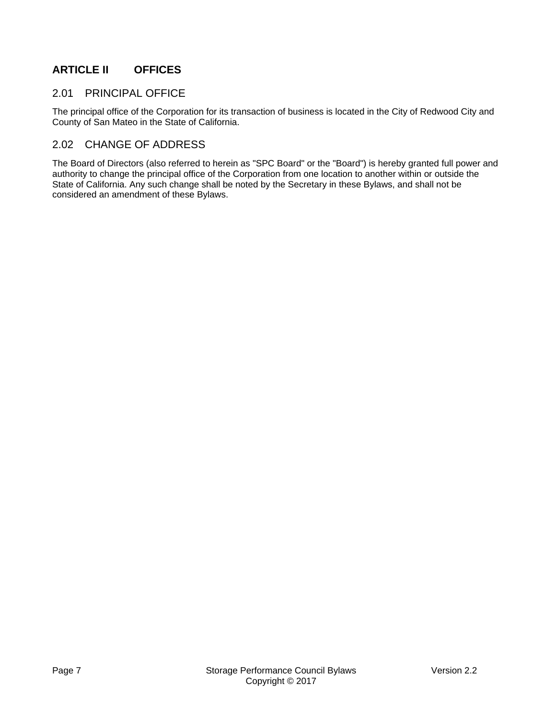# **ARTICLE II OFFICES**

#### 2.01 PRINCIPAL OFFICE

The principal office of the Corporation for its transaction of business is located in the City of Redwood City and County of San Mateo in the State of California.

#### 2.02 CHANGE OF ADDRESS

The Board of Directors (also referred to herein as "SPC Board" or the "Board") is hereby granted full power and authority to change the principal office of the Corporation from one location to another within or outside the State of California. Any such change shall be noted by the Secretary in these Bylaws, and shall not be considered an amendment of these Bylaws.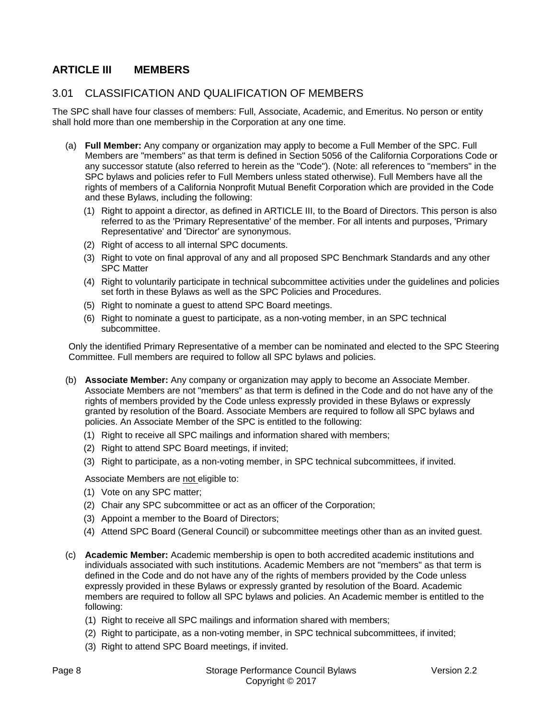# **ARTICLE III MEMBERS**

#### 3.01 CLASSIFICATION AND QUALIFICATION OF MEMBERS

The SPC shall have four classes of members: Full, Associate, Academic, and Emeritus. No person or entity shall hold more than one membership in the Corporation at any one time.

- (a) **Full Member:** Any company or organization may apply to become a Full Member of the SPC. Full Members are "members" as that term is defined in Section 5056 of the California Corporations Code or any successor statute (also referred to herein as the "Code"). (Note: all references to "members" in the SPC bylaws and policies refer to Full Members unless stated otherwise). Full Members have all the rights of members of a California Nonprofit Mutual Benefit Corporation which are provided in the Code and these Bylaws, including the following:
	- (1) Right to appoint a director, as defined in ARTICLE III, to the Board of Directors. This person is also referred to as the 'Primary Representative' of the member. For all intents and purposes, 'Primary Representative' and 'Director' are synonymous.
	- (2) Right of access to all internal SPC documents.
	- (3) Right to vote on final approval of any and all proposed SPC Benchmark Standards and any other SPC Matter
	- (4) Right to voluntarily participate in technical subcommittee activities under the guidelines and policies set forth in these Bylaws as well as the SPC Policies and Procedures.
	- (5) Right to nominate a guest to attend SPC Board meetings.
	- (6) Right to nominate a guest to participate, as a non-voting member, in an SPC technical subcommittee.

Only the identified Primary Representative of a member can be nominated and elected to the SPC Steering Committee. Full members are required to follow all SPC bylaws and policies.

- (b) **Associate Member:** Any company or organization may apply to become an Associate Member. Associate Members are not "members" as that term is defined in the Code and do not have any of the rights of members provided by the Code unless expressly provided in these Bylaws or expressly granted by resolution of the Board. Associate Members are required to follow all SPC bylaws and policies. An Associate Member of the SPC is entitled to the following:
	- (1) Right to receive all SPC mailings and information shared with members;
	- (2) Right to attend SPC Board meetings, if invited;
	- (3) Right to participate, as a non-voting member, in SPC technical subcommittees, if invited.

Associate Members are not eligible to:

- (1) Vote on any SPC matter;
- (2) Chair any SPC subcommittee or act as an officer of the Corporation;
- (3) Appoint a member to the Board of Directors;
- (4) Attend SPC Board (General Council) or subcommittee meetings other than as an invited guest.
- (c) **Academic Member:** Academic membership is open to both accredited academic institutions and individuals associated with such institutions. Academic Members are not "members" as that term is defined in the Code and do not have any of the rights of members provided by the Code unless expressly provided in these Bylaws or expressly granted by resolution of the Board. Academic members are required to follow all SPC bylaws and policies. An Academic member is entitled to the following:
	- (1) Right to receive all SPC mailings and information shared with members;
	- (2) Right to participate, as a non-voting member, in SPC technical subcommittees, if invited;
	- (3) Right to attend SPC Board meetings, if invited.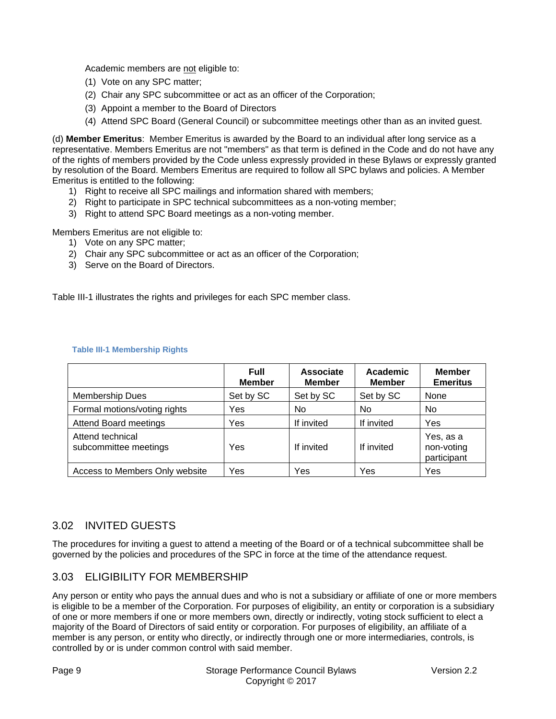Academic members are not eligible to:

- (1) Vote on any SPC matter;
- (2) Chair any SPC subcommittee or act as an officer of the Corporation;
- (3) Appoint a member to the Board of Directors
- (4) Attend SPC Board (General Council) or subcommittee meetings other than as an invited guest.

(d) **Member Emeritus**: Member Emeritus is awarded by the Board to an individual after long service as a representative. Members Emeritus are not "members" as that term is defined in the Code and do not have any of the rights of members provided by the Code unless expressly provided in these Bylaws or expressly granted by resolution of the Board. Members Emeritus are required to follow all SPC bylaws and policies. A Member Emeritus is entitled to the following:

- 1) Right to receive all SPC mailings and information shared with members;
- 2) Right to participate in SPC technical subcommittees as a non-voting member;
- 3) Right to attend SPC Board meetings as a non-voting member.

Members Emeritus are not eligible to:

- 1) Vote on any SPC matter;
- 2) Chair any SPC subcommittee or act as an officer of the Corporation;
- 3) Serve on the Board of Directors.

Table III-1 illustrates the rights and privileges for each SPC member class.

|                                           | Full<br><b>Member</b> | Associate<br><b>Member</b> | Academic<br><b>Member</b> | <b>Member</b><br><b>Emeritus</b>       |
|-------------------------------------------|-----------------------|----------------------------|---------------------------|----------------------------------------|
| <b>Membership Dues</b>                    | Set by SC             | Set by SC                  | Set by SC                 | None                                   |
| Formal motions/voting rights              | Yes                   | No                         | No                        | No                                     |
| <b>Attend Board meetings</b>              | Yes                   | If invited                 | If invited                | Yes                                    |
| Attend technical<br>subcommittee meetings | Yes                   | If invited                 | If invited                | Yes, as a<br>non-voting<br>participant |
| Access to Members Only website            | Yes                   | Yes                        | Yes                       | Yes                                    |

#### **Table III-1 Membership Rights**

#### 3.02 INVITED GUESTS

The procedures for inviting a guest to attend a meeting of the Board or of a technical subcommittee shall be governed by the policies and procedures of the SPC in force at the time of the attendance request.

# 3.03 ELIGIBILITY FOR MEMBERSHIP

Any person or entity who pays the annual dues and who is not a subsidiary or affiliate of one or more members is eligible to be a member of the Corporation. For purposes of eligibility, an entity or corporation is a subsidiary of one or more members if one or more members own, directly or indirectly, voting stock sufficient to elect a majority of the Board of Directors of said entity or corporation. For purposes of eligibility, an affiliate of a member is any person, or entity who directly, or indirectly through one or more intermediaries, controls, is controlled by or is under common control with said member.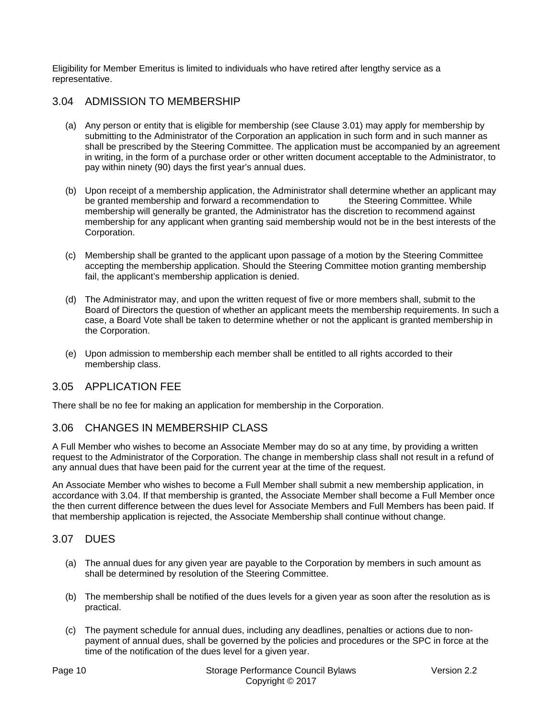Eligibility for Member Emeritus is limited to individuals who have retired after lengthy service as a representative.

#### 3.04 ADMISSION TO MEMBERSHIP

- (a) Any person or entity that is eligible for membership (see Clause 3.01) may apply for membership by submitting to the Administrator of the Corporation an application in such form and in such manner as shall be prescribed by the Steering Committee. The application must be accompanied by an agreement in writing, in the form of a purchase order or other written document acceptable to the Administrator, to pay within ninety (90) days the first year's annual dues.
- (b) Upon receipt of a membership application, the Administrator shall determine whether an applicant may be granted membership and forward a recommendation to the Steering Committee. While membership will generally be granted, the Administrator has the discretion to recommend against membership for any applicant when granting said membership would not be in the best interests of the Corporation.
- (c) Membership shall be granted to the applicant upon passage of a motion by the Steering Committee accepting the membership application. Should the Steering Committee motion granting membership fail, the applicant's membership application is denied.
- (d) The Administrator may, and upon the written request of five or more members shall, submit to the Board of Directors the question of whether an applicant meets the membership requirements. In such a case, a Board Vote shall be taken to determine whether or not the applicant is granted membership in the Corporation.
- (e) Upon admission to membership each member shall be entitled to all rights accorded to their membership class.

#### 3.05 APPLICATION FEE

There shall be no fee for making an application for membership in the Corporation.

#### 3.06 CHANGES IN MEMBERSHIP CLASS

A Full Member who wishes to become an Associate Member may do so at any time, by providing a written request to the Administrator of the Corporation. The change in membership class shall not result in a refund of any annual dues that have been paid for the current year at the time of the request.

An Associate Member who wishes to become a Full Member shall submit a new membership application, in accordance with 3.04. If that membership is granted, the Associate Member shall become a Full Member once the then current difference between the dues level for Associate Members and Full Members has been paid. If that membership application is rejected, the Associate Membership shall continue without change.

#### 3.07 DUES

- (a) The annual dues for any given year are payable to the Corporation by members in such amount as shall be determined by resolution of the Steering Committee.
- (b) The membership shall be notified of the dues levels for a given year as soon after the resolution as is practical.
- (c) The payment schedule for annual dues, including any deadlines, penalties or actions due to nonpayment of annual dues, shall be governed by the policies and procedures or the SPC in force at the time of the notification of the dues level for a given year.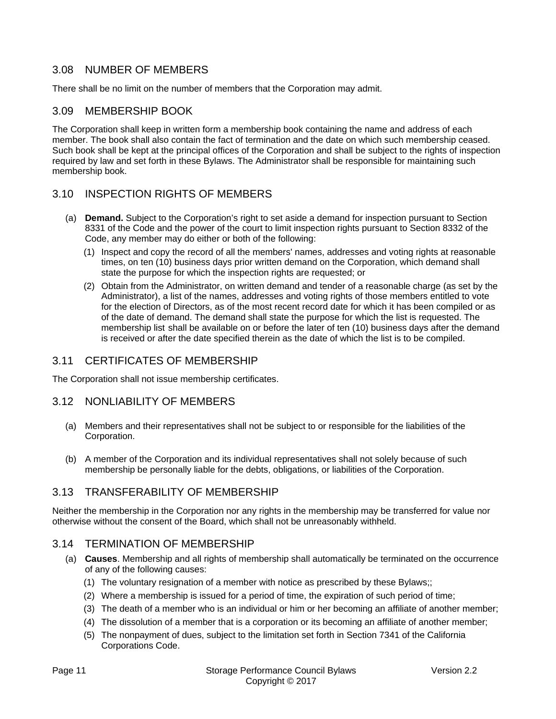#### 3.08 NUMBER OF MEMBERS

There shall be no limit on the number of members that the Corporation may admit.

#### 3.09 MEMBERSHIP BOOK

The Corporation shall keep in written form a membership book containing the name and address of each member. The book shall also contain the fact of termination and the date on which such membership ceased. Such book shall be kept at the principal offices of the Corporation and shall be subject to the rights of inspection required by law and set forth in these Bylaws. The Administrator shall be responsible for maintaining such membership book.

#### 3.10 INSPECTION RIGHTS OF MEMBERS

- (a) **Demand.** Subject to the Corporation's right to set aside a demand for inspection pursuant to Section 8331 of the Code and the power of the court to limit inspection rights pursuant to Section 8332 of the Code, any member may do either or both of the following:
	- (1) Inspect and copy the record of all the members' names, addresses and voting rights at reasonable times, on ten (10) business days prior written demand on the Corporation, which demand shall state the purpose for which the inspection rights are requested; or
	- (2) Obtain from the Administrator, on written demand and tender of a reasonable charge (as set by the Administrator), a list of the names, addresses and voting rights of those members entitled to vote for the election of Directors, as of the most recent record date for which it has been compiled or as of the date of demand. The demand shall state the purpose for which the list is requested. The membership list shall be available on or before the later of ten (10) business days after the demand is received or after the date specified therein as the date of which the list is to be compiled.

#### 3.11 CERTIFICATES OF MEMBERSHIP

The Corporation shall not issue membership certificates.

#### 3.12 NONLIABILITY OF MEMBERS

- (a) Members and their representatives shall not be subject to or responsible for the liabilities of the Corporation.
- (b) A member of the Corporation and its individual representatives shall not solely because of such membership be personally liable for the debts, obligations, or liabilities of the Corporation.

#### 3.13 TRANSFERABILITY OF MEMBERSHIP

Neither the membership in the Corporation nor any rights in the membership may be transferred for value nor otherwise without the consent of the Board, which shall not be unreasonably withheld.

#### 3.14 TERMINATION OF MEMBERSHIP

- (a) **Causes**. Membership and all rights of membership shall automatically be terminated on the occurrence of any of the following causes:
	- (1) The voluntary resignation of a member with notice as prescribed by these Bylaws;;
	- (2) Where a membership is issued for a period of time, the expiration of such period of time;
	- (3) The death of a member who is an individual or him or her becoming an affiliate of another member;
	- (4) The dissolution of a member that is a corporation or its becoming an affiliate of another member;
	- (5) The nonpayment of dues, subject to the limitation set forth in Section 7341 of the California Corporations Code.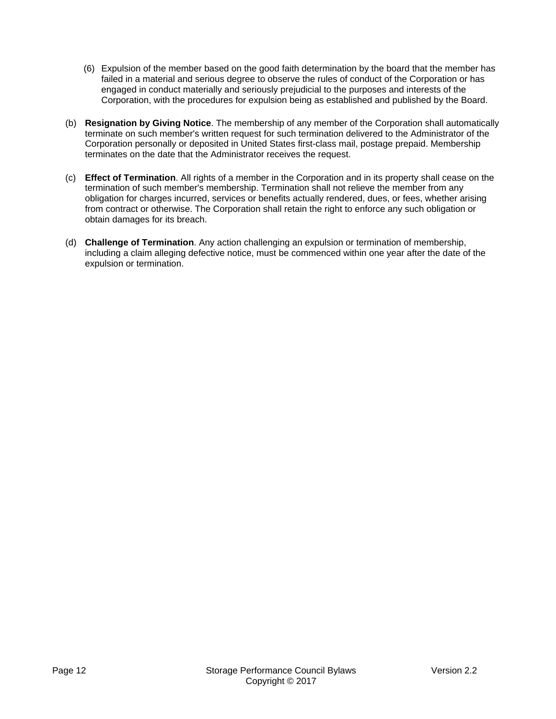- (6) Expulsion of the member based on the good faith determination by the board that the member has failed in a material and serious degree to observe the rules of conduct of the Corporation or has engaged in conduct materially and seriously prejudicial to the purposes and interests of the Corporation, with the procedures for expulsion being as established and published by the Board.
- (b) **Resignation by Giving Notice**. The membership of any member of the Corporation shall automatically terminate on such member's written request for such termination delivered to the Administrator of the Corporation personally or deposited in United States first-class mail, postage prepaid. Membership terminates on the date that the Administrator receives the request.
- (c) **Effect of Termination**. All rights of a member in the Corporation and in its property shall cease on the termination of such member's membership. Termination shall not relieve the member from any obligation for charges incurred, services or benefits actually rendered, dues, or fees, whether arising from contract or otherwise. The Corporation shall retain the right to enforce any such obligation or obtain damages for its breach.
- (d) **Challenge of Termination**. Any action challenging an expulsion or termination of membership, including a claim alleging defective notice, must be commenced within one year after the date of the expulsion or termination.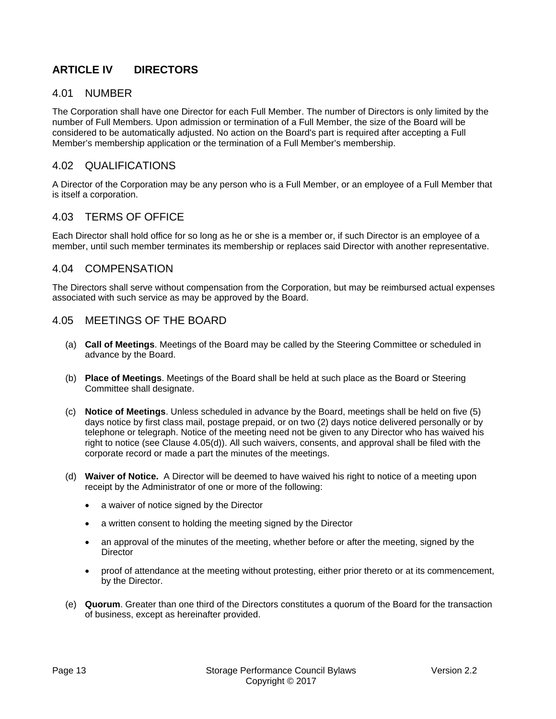# **ARTICLE IV DIRECTORS**

#### 4.01 NUMBER

The Corporation shall have one Director for each Full Member. The number of Directors is only limited by the number of Full Members. Upon admission or termination of a Full Member, the size of the Board will be considered to be automatically adjusted. No action on the Board's part is required after accepting a Full Member's membership application or the termination of a Full Member's membership.

#### 4.02 QUALIFICATIONS

A Director of the Corporation may be any person who is a Full Member, or an employee of a Full Member that is itself a corporation.

#### 4.03 TERMS OF OFFICE

Each Director shall hold office for so long as he or she is a member or, if such Director is an employee of a member, until such member terminates its membership or replaces said Director with another representative.

#### 4.04 COMPENSATION

The Directors shall serve without compensation from the Corporation, but may be reimbursed actual expenses associated with such service as may be approved by the Board.

#### 4.05 MEETINGS OF THE BOARD

- (a) **Call of Meetings**. Meetings of the Board may be called by the Steering Committee or scheduled in advance by the Board.
- (b) **Place of Meetings**. Meetings of the Board shall be held at such place as the Board or Steering Committee shall designate.
- (c) **Notice of Meetings**. Unless scheduled in advance by the Board, meetings shall be held on five (5) days notice by first class mail, postage prepaid, or on two (2) days notice delivered personally or by telephone or telegraph. Notice of the meeting need not be given to any Director who has waived his right to notice (see Clause 4.05(d)). All such waivers, consents, and approval shall be filed with the corporate record or made a part the minutes of the meetings.
- (d) **Waiver of Notice.** A Director will be deemed to have waived his right to notice of a meeting upon receipt by the Administrator of one or more of the following:
	- a waiver of notice signed by the Director
	- a written consent to holding the meeting signed by the Director
	- an approval of the minutes of the meeting, whether before or after the meeting, signed by the **Director**
	- proof of attendance at the meeting without protesting, either prior thereto or at its commencement, by the Director.
- (e) **Quorum**. Greater than one third of the Directors constitutes a quorum of the Board for the transaction of business, except as hereinafter provided.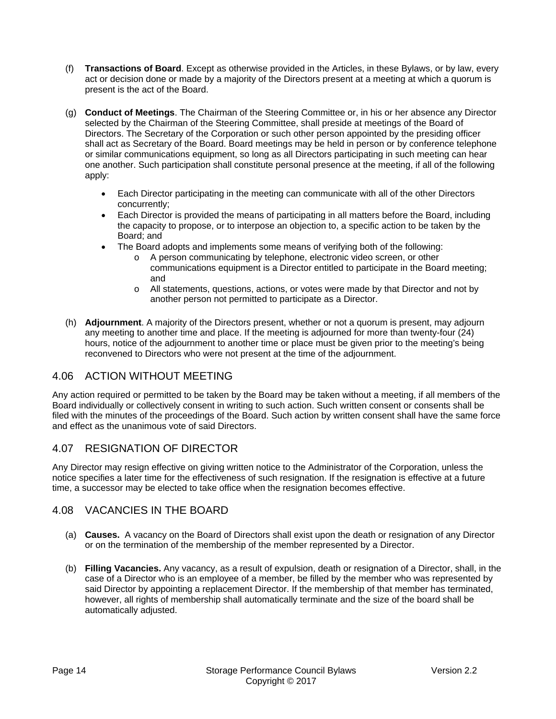- (f) **Transactions of Board**. Except as otherwise provided in the Articles, in these Bylaws, or by law, every act or decision done or made by a majority of the Directors present at a meeting at which a quorum is present is the act of the Board.
- (g) **Conduct of Meetings**. The Chairman of the Steering Committee or, in his or her absence any Director selected by the Chairman of the Steering Committee, shall preside at meetings of the Board of Directors. The Secretary of the Corporation or such other person appointed by the presiding officer shall act as Secretary of the Board. Board meetings may be held in person or by conference telephone or similar communications equipment, so long as all Directors participating in such meeting can hear one another. Such participation shall constitute personal presence at the meeting, if all of the following apply:
	- Each Director participating in the meeting can communicate with all of the other Directors concurrently;
	- Each Director is provided the means of participating in all matters before the Board, including the capacity to propose, or to interpose an objection to, a specific action to be taken by the Board; and
	- The Board adopts and implements some means of verifying both of the following:
		- o A person communicating by telephone, electronic video screen, or other communications equipment is a Director entitled to participate in the Board meeting; and
		- o All statements, questions, actions, or votes were made by that Director and not by another person not permitted to participate as a Director.
- (h) **Adjournment**. A majority of the Directors present, whether or not a quorum is present, may adjourn any meeting to another time and place. If the meeting is adjourned for more than twenty-four (24) hours, notice of the adjournment to another time or place must be given prior to the meeting's being reconvened to Directors who were not present at the time of the adjournment.

# 4.06 ACTION WITHOUT MEETING

Any action required or permitted to be taken by the Board may be taken without a meeting, if all members of the Board individually or collectively consent in writing to such action. Such written consent or consents shall be filed with the minutes of the proceedings of the Board. Such action by written consent shall have the same force and effect as the unanimous vote of said Directors.

# 4.07 RESIGNATION OF DIRECTOR

Any Director may resign effective on giving written notice to the Administrator of the Corporation, unless the notice specifies a later time for the effectiveness of such resignation. If the resignation is effective at a future time, a successor may be elected to take office when the resignation becomes effective.

#### 4.08 VACANCIES IN THE BOARD

- (a) **Causes.** A vacancy on the Board of Directors shall exist upon the death or resignation of any Director or on the termination of the membership of the member represented by a Director.
- (b) **Filling Vacancies.** Any vacancy, as a result of expulsion, death or resignation of a Director, shall, in the case of a Director who is an employee of a member, be filled by the member who was represented by said Director by appointing a replacement Director. If the membership of that member has terminated, however, all rights of membership shall automatically terminate and the size of the board shall be automatically adjusted.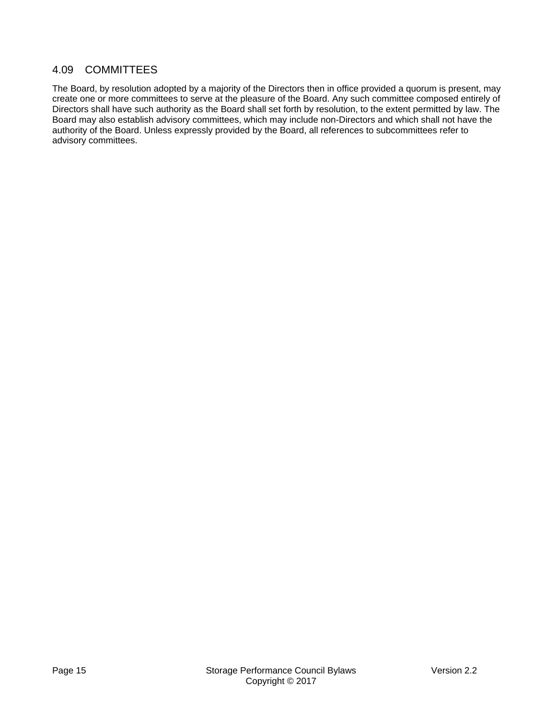#### 4.09 COMMITTEES

The Board, by resolution adopted by a majority of the Directors then in office provided a quorum is present, may create one or more committees to serve at the pleasure of the Board. Any such committee composed entirely of Directors shall have such authority as the Board shall set forth by resolution, to the extent permitted by law. The Board may also establish advisory committees, which may include non-Directors and which shall not have the authority of the Board. Unless expressly provided by the Board, all references to subcommittees refer to advisory committees.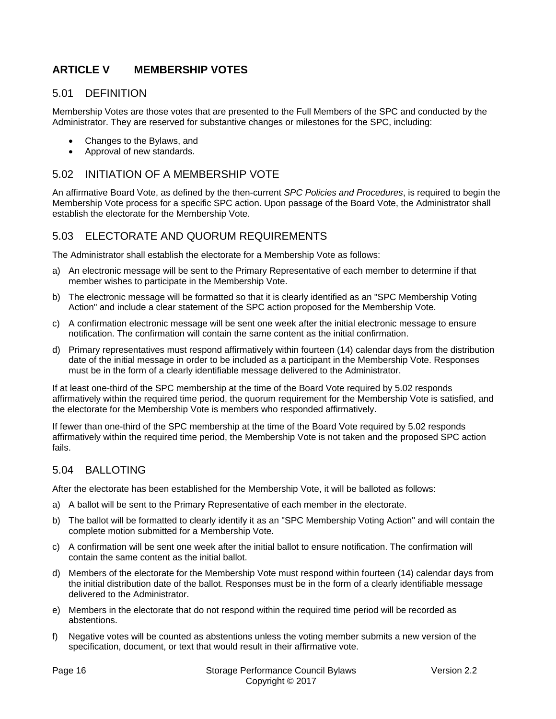# **ARTICLE V MEMBERSHIP VOTES**

#### 5.01 DEFINITION

Membership Votes are those votes that are presented to the Full Members of the SPC and conducted by the Administrator. They are reserved for substantive changes or milestones for the SPC, including:

- Changes to the Bylaws, and
- Approval of new standards.

#### 5.02 INITIATION OF A MEMBERSHIP VOTE

An affirmative Board Vote, as defined by the then-current *SPC Policies and Procedures*, is required to begin the Membership Vote process for a specific SPC action. Upon passage of the Board Vote, the Administrator shall establish the electorate for the Membership Vote.

#### 5.03 ELECTORATE AND QUORUM REQUIREMENTS

The Administrator shall establish the electorate for a Membership Vote as follows:

- a) An electronic message will be sent to the Primary Representative of each member to determine if that member wishes to participate in the Membership Vote.
- b) The electronic message will be formatted so that it is clearly identified as an "SPC Membership Voting Action" and include a clear statement of the SPC action proposed for the Membership Vote.
- c) A confirmation electronic message will be sent one week after the initial electronic message to ensure notification. The confirmation will contain the same content as the initial confirmation.
- d) Primary representatives must respond affirmatively within fourteen (14) calendar days from the distribution date of the initial message in order to be included as a participant in the Membership Vote. Responses must be in the form of a clearly identifiable message delivered to the Administrator.

If at least one-third of the SPC membership at the time of the Board Vote required by 5.02 responds affirmatively within the required time period, the quorum requirement for the Membership Vote is satisfied, and the electorate for the Membership Vote is members who responded affirmatively.

If fewer than one-third of the SPC membership at the time of the Board Vote required by 5.02 responds affirmatively within the required time period, the Membership Vote is not taken and the proposed SPC action fails.

#### 5.04 BALLOTING

After the electorate has been established for the Membership Vote, it will be balloted as follows:

- a) A ballot will be sent to the Primary Representative of each member in the electorate.
- b) The ballot will be formatted to clearly identify it as an "SPC Membership Voting Action" and will contain the complete motion submitted for a Membership Vote.
- c) A confirmation will be sent one week after the initial ballot to ensure notification. The confirmation will contain the same content as the initial ballot.
- d) Members of the electorate for the Membership Vote must respond within fourteen (14) calendar days from the initial distribution date of the ballot. Responses must be in the form of a clearly identifiable message delivered to the Administrator.
- e) Members in the electorate that do not respond within the required time period will be recorded as abstentions.
- f) Negative votes will be counted as abstentions unless the voting member submits a new version of the specification, document, or text that would result in their affirmative vote.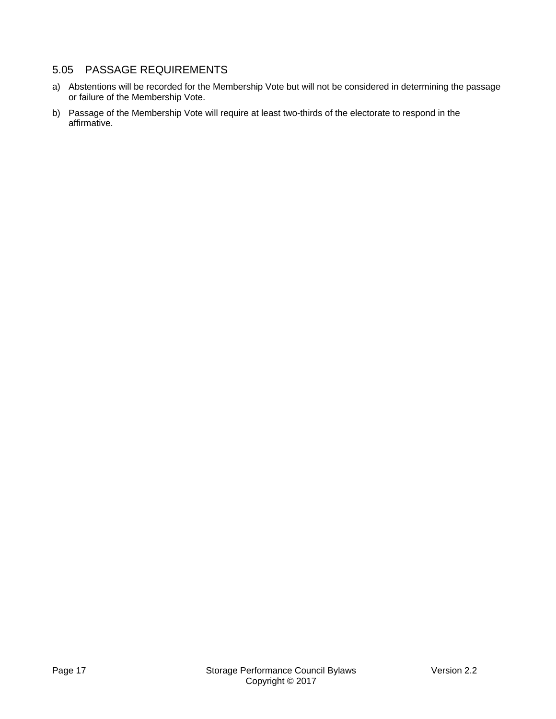# 5.05 PASSAGE REQUIREMENTS

- a) Abstentions will be recorded for the Membership Vote but will not be considered in determining the passage or failure of the Membership Vote.
- b) Passage of the Membership Vote will require at least two-thirds of the electorate to respond in the affirmative.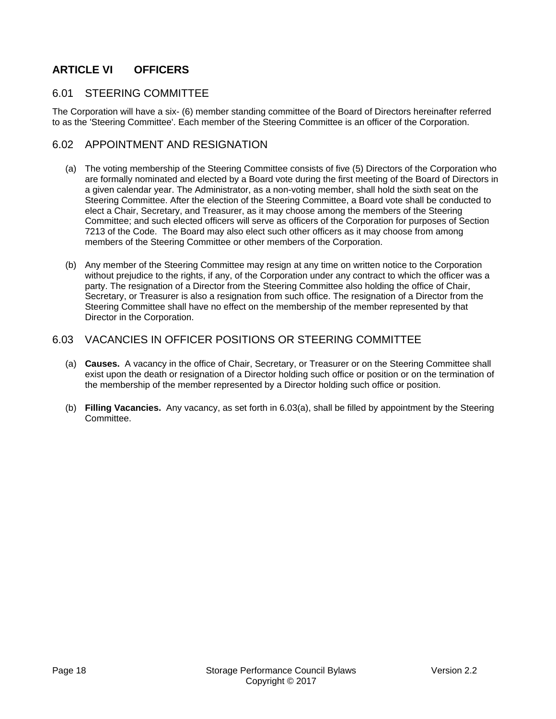# **ARTICLE VI OFFICERS**

#### 6.01 STEERING COMMITTEE

The Corporation will have a six- (6) member standing committee of the Board of Directors hereinafter referred to as the 'Steering Committee'. Each member of the Steering Committee is an officer of the Corporation.

#### 6.02 APPOINTMENT AND RESIGNATION

- (a) The voting membership of the Steering Committee consists of five (5) Directors of the Corporation who are formally nominated and elected by a Board vote during the first meeting of the Board of Directors in a given calendar year. The Administrator, as a non-voting member, shall hold the sixth seat on the Steering Committee. After the election of the Steering Committee, a Board vote shall be conducted to elect a Chair, Secretary, and Treasurer, as it may choose among the members of the Steering Committee; and such elected officers will serve as officers of the Corporation for purposes of Section 7213 of the Code. The Board may also elect such other officers as it may choose from among members of the Steering Committee or other members of the Corporation.
- (b) Any member of the Steering Committee may resign at any time on written notice to the Corporation without prejudice to the rights, if any, of the Corporation under any contract to which the officer was a party. The resignation of a Director from the Steering Committee also holding the office of Chair, Secretary, or Treasurer is also a resignation from such office. The resignation of a Director from the Steering Committee shall have no effect on the membership of the member represented by that Director in the Corporation.

#### 6.03 VACANCIES IN OFFICER POSITIONS OR STEERING COMMITTEE

- (a) **Causes.** A vacancy in the office of Chair, Secretary, or Treasurer or on the Steering Committee shall exist upon the death or resignation of a Director holding such office or position or on the termination of the membership of the member represented by a Director holding such office or position.
- (b) **Filling Vacancies.** Any vacancy, as set forth in 6.03(a), shall be filled by appointment by the Steering Committee.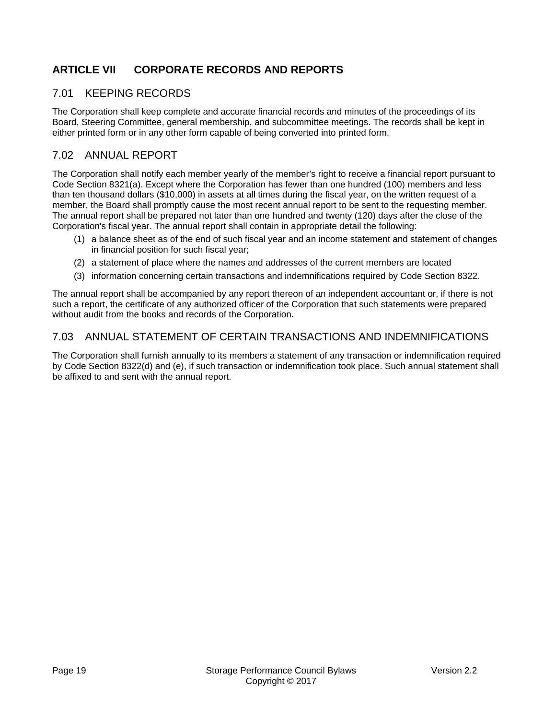# **ARTICLE VII CORPORATE RECORDS AND REPORTS**

# 7.01 KEEPING RECORDS

The Corporation shall keep complete and accurate financial records and minutes of the proceedings of its Board, Steering Committee, general membership, and subcommittee meetings. The records shall be kept in either printed form or in any other form capable of being converted into printed form.

#### 7.02 ANNUAL REPORT

The Corporation shall notify each member yearly of the member's right to receive a financial report pursuant to Code Section 8321(a). Except where the Corporation has fewer than one hundred (100) members and less than ten thousand dollars (\$10,000) in assets at all times during the fiscal year, on the written request of a member, the Board shall promptly cause the most recent annual report to be sent to the requesting member. The annual report shall be prepared not later than one hundred and twenty (120) days after the close of the Corporation's fiscal year. The annual report shall contain in appropriate detail the following:

- (1) a balance sheet as of the end of such fiscal year and an income statement and statement of changes in financial position for such fiscal year;
- (2) a statement of place where the names and addresses of the current members are located
- (3) information concerning certain transactions and indemnifications required by Code Section 8322.

The annual report shall be accompanied by any report thereon of an independent accountant or, if there is not such a report, the certificate of any authorized officer of the Corporation that such statements were prepared without audit from the books and records of the Corporation**.**

# 7.03 ANNUAL STATEMENT OF CERTAIN TRANSACTIONS AND INDEMNIFICATIONS

The Corporation shall furnish annually to its members a statement of any transaction or indemnification required by Code Section 8322(d) and (e), if such transaction or indemnification took place. Such annual statement shall be affixed to and sent with the annual report.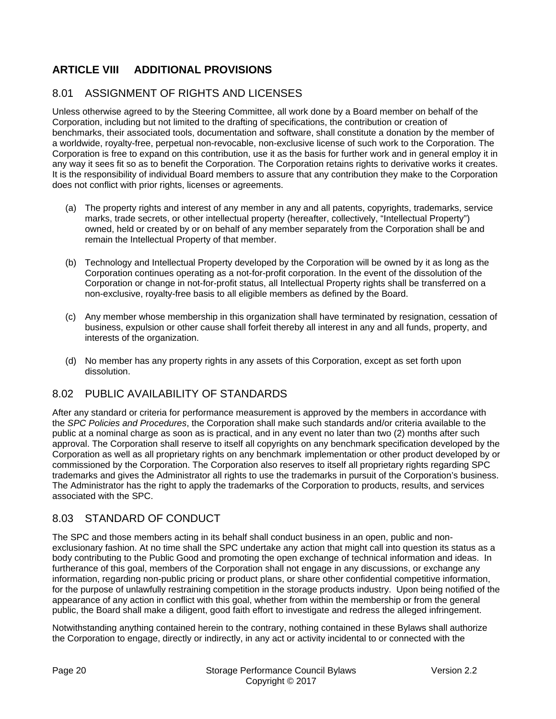# **ARTICLE VIII ADDITIONAL PROVISIONS**

# 8.01 ASSIGNMENT OF RIGHTS AND LICENSES

Unless otherwise agreed to by the Steering Committee, all work done by a Board member on behalf of the Corporation, including but not limited to the drafting of specifications, the contribution or creation of benchmarks, their associated tools, documentation and software, shall constitute a donation by the member of a worldwide, royalty-free, perpetual non-revocable, non-exclusive license of such work to the Corporation. The Corporation is free to expand on this contribution, use it as the basis for further work and in general employ it in any way it sees fit so as to benefit the Corporation. The Corporation retains rights to derivative works it creates. It is the responsibility of individual Board members to assure that any contribution they make to the Corporation does not conflict with prior rights, licenses or agreements.

- (a) The property rights and interest of any member in any and all patents, copyrights, trademarks, service marks, trade secrets, or other intellectual property (hereafter, collectively, "Intellectual Property") owned, held or created by or on behalf of any member separately from the Corporation shall be and remain the Intellectual Property of that member.
- (b) Technology and Intellectual Property developed by the Corporation will be owned by it as long as the Corporation continues operating as a not-for-profit corporation. In the event of the dissolution of the Corporation or change in not-for-profit status, all Intellectual Property rights shall be transferred on a non-exclusive, royalty-free basis to all eligible members as defined by the Board.
- (c) Any member whose membership in this organization shall have terminated by resignation, cessation of business, expulsion or other cause shall forfeit thereby all interest in any and all funds, property, and interests of the organization.
- (d) No member has any property rights in any assets of this Corporation, except as set forth upon dissolution.

#### 8.02 PUBLIC AVAILABILITY OF STANDARDS

After any standard or criteria for performance measurement is approved by the members in accordance with the *SPC Policies and Procedures*, the Corporation shall make such standards and/or criteria available to the public at a nominal charge as soon as is practical, and in any event no later than two (2) months after such approval. The Corporation shall reserve to itself all copyrights on any benchmark specification developed by the Corporation as well as all proprietary rights on any benchmark implementation or other product developed by or commissioned by the Corporation. The Corporation also reserves to itself all proprietary rights regarding SPC trademarks and gives the Administrator all rights to use the trademarks in pursuit of the Corporation's business. The Administrator has the right to apply the trademarks of the Corporation to products, results, and services associated with the SPC.

#### 8.03 STANDARD OF CONDUCT

The SPC and those members acting in its behalf shall conduct business in an open, public and nonexclusionary fashion. At no time shall the SPC undertake any action that might call into question its status as a body contributing to the Public Good and promoting the open exchange of technical information and ideas. In furtherance of this goal, members of the Corporation shall not engage in any discussions, or exchange any information, regarding non-public pricing or product plans, or share other confidential competitive information, for the purpose of unlawfully restraining competition in the storage products industry. Upon being notified of the appearance of any action in conflict with this goal, whether from within the membership or from the general public, the Board shall make a diligent, good faith effort to investigate and redress the alleged infringement.

Notwithstanding anything contained herein to the contrary, nothing contained in these Bylaws shall authorize the Corporation to engage, directly or indirectly, in any act or activity incidental to or connected with the